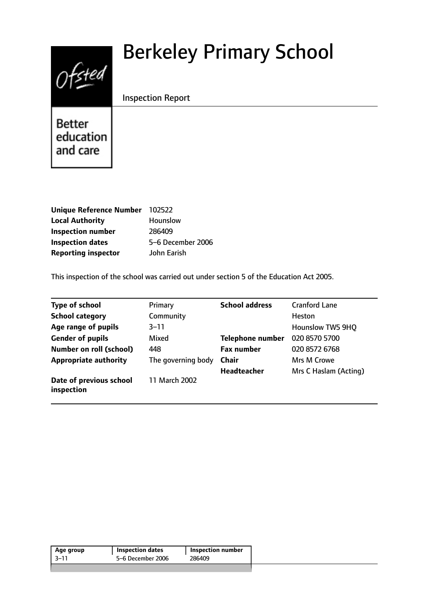# Berkeley Primary School



Inspection Report

**Better** education and care

| Unique Reference Number 102522 |                   |
|--------------------------------|-------------------|
| <b>Local Authority</b>         | Hounslow          |
| <b>Inspection number</b>       | 286409            |
| <b>Inspection dates</b>        | 5-6 December 2006 |
| <b>Reporting inspector</b>     | John Earish       |

This inspection of the school was carried out under section 5 of the Education Act 2005.

| <b>Type of school</b>                 | Primary            | <b>School address</b>   | <b>Cranford Lane</b>    |
|---------------------------------------|--------------------|-------------------------|-------------------------|
| <b>School category</b>                | Community          |                         | Heston                  |
| Age range of pupils                   | $3 - 11$           |                         | <b>Hounslow TW5 9HQ</b> |
| <b>Gender of pupils</b>               | Mixed              | <b>Telephone number</b> | 020 8570 5700           |
| <b>Number on roll (school)</b>        | 448                | <b>Fax number</b>       | 020 8572 6768           |
| <b>Appropriate authority</b>          | The governing body | <b>Chair</b>            | Mrs M Crowe             |
|                                       |                    | <b>Headteacher</b>      | Mrs C Haslam (Acting)   |
| Date of previous school<br>inspection | 11 March 2002      |                         |                         |

| Age group | <b>Inspection dates</b> | <b>Inspection number</b> |
|-----------|-------------------------|--------------------------|
| 3–11      | 5-6 December 2006       | 286409                   |
|           |                         |                          |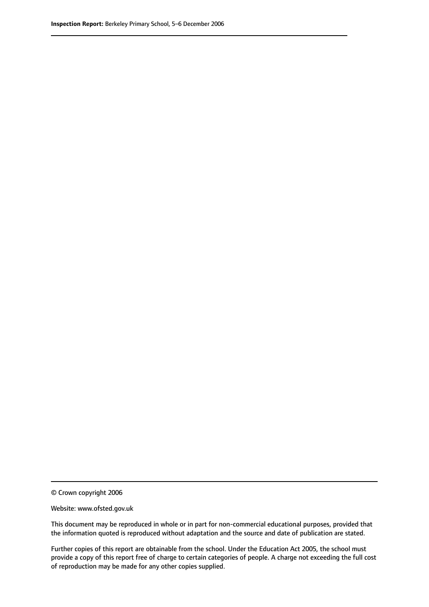© Crown copyright 2006

Website: www.ofsted.gov.uk

This document may be reproduced in whole or in part for non-commercial educational purposes, provided that the information quoted is reproduced without adaptation and the source and date of publication are stated.

Further copies of this report are obtainable from the school. Under the Education Act 2005, the school must provide a copy of this report free of charge to certain categories of people. A charge not exceeding the full cost of reproduction may be made for any other copies supplied.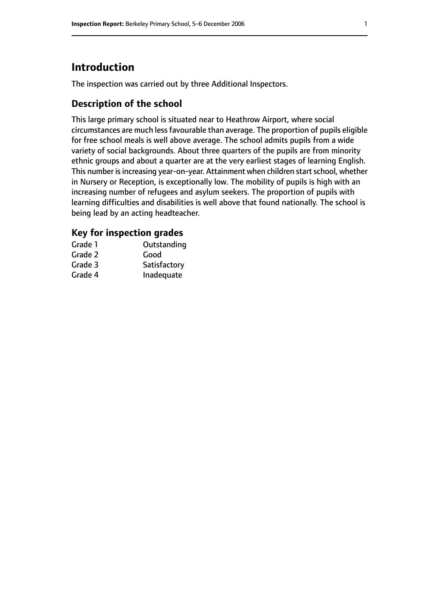# **Introduction**

The inspection was carried out by three Additional Inspectors.

# **Description of the school**

This large primary school is situated near to Heathrow Airport, where social circumstances are much lessfavourable than average. The proportion of pupils eligible for free school meals is well above average. The school admits pupils from a wide variety of social backgrounds. About three quarters of the pupils are from minority ethnic groups and about a quarter are at the very earliest stages of learning English. This number is increasing year-on-year. Attainment when children start school, whether in Nursery or Reception, is exceptionally low. The mobility of pupils is high with an increasing number of refugees and asylum seekers. The proportion of pupils with learning difficulties and disabilities is well above that found nationally. The school is being lead by an acting headteacher.

## **Key for inspection grades**

| Grade 1 | Outstanding  |
|---------|--------------|
| Grade 2 | Good         |
| Grade 3 | Satisfactory |
| Grade 4 | Inadequate   |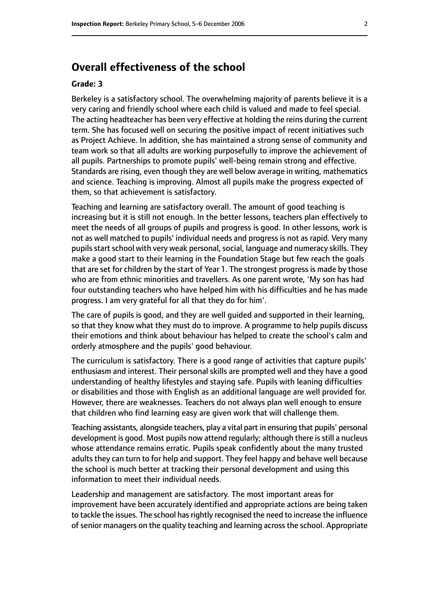## **Overall effectiveness of the school**

#### **Grade: 3**

Berkeley is a satisfactory school. The overwhelming majority of parents believe it is a very caring and friendly school where each child is valued and made to feel special. The acting headteacher has been very effective at holding the reins during the current term. She has focused well on securing the positive impact of recent initiatives such as Project Achieve. In addition, she has maintained a strong sense of community and team work so that all adults are working purposefully to improve the achievement of all pupils. Partnerships to promote pupils' well-being remain strong and effective. Standards are rising, even though they are well below average in writing, mathematics and science. Teaching is improving. Almost all pupils make the progress expected of them, so that achievement is satisfactory.

Teaching and learning are satisfactory overall. The amount of good teaching is increasing but it is still not enough. In the better lessons, teachers plan effectively to meet the needs of all groups of pupils and progress is good. In other lessons, work is not as well matched to pupils' individual needs and progress is not as rapid. Very many pupils start school with very weak personal, social, language and numeracy skills. They make a good start to their learning in the Foundation Stage but few reach the goals that are set for children by the start of Year 1. The strongest progress is made by those who are from ethnic minorities and travellers. As one parent wrote, 'My son has had four outstanding teachers who have helped him with his difficulties and he has made progress. I am very grateful for all that they do for him'.

The care of pupils is good, and they are well guided and supported in their learning, so that they know what they must do to improve. A programme to help pupils discuss their emotions and think about behaviour has helped to create the school's calm and orderly atmosphere and the pupils' good behaviour.

The curriculum is satisfactory. There is a good range of activities that capture pupils' enthusiasm and interest. Their personal skills are prompted well and they have a good understanding of healthy lifestyles and staying safe. Pupils with leaning difficulties or disabilities and those with English as an additional language are well provided for. However, there are weaknesses. Teachers do not always plan well enough to ensure that children who find learning easy are given work that will challenge them.

Teaching assistants, alongside teachers, play a vital part in ensuring that pupils' personal development is good. Most pupils now attend regularly; although there is still a nucleus whose attendance remains erratic. Pupils speak confidently about the many trusted adults they can turn to for help and support. They feel happy and behave well because the school is much better at tracking their personal development and using this information to meet their individual needs.

Leadership and management are satisfactory. The most important areas for improvement have been accurately identified and appropriate actions are being taken to tackle the issues. The school has rightly recognised the need to increase the influence of senior managers on the quality teaching and learning across the school. Appropriate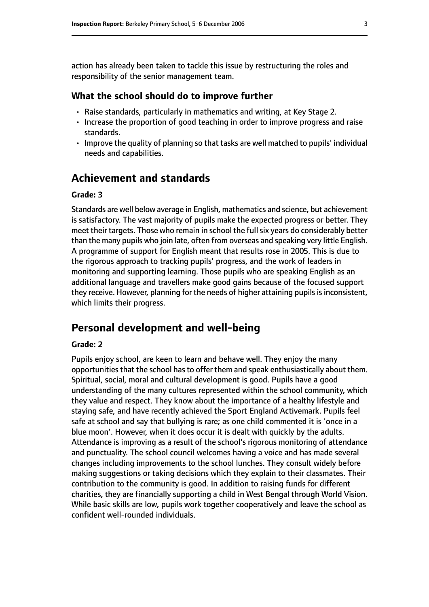action has already been taken to tackle this issue by restructuring the roles and responsibility of the senior management team.

#### **What the school should do to improve further**

- Raise standards, particularly in mathematics and writing, at Key Stage 2.
- Increase the proportion of good teaching in order to improve progress and raise standards.
- Improve the quality of planning so that tasks are well matched to pupils' individual needs and capabilities.

## **Achievement and standards**

#### **Grade: 3**

Standards are well below average in English, mathematics and science, but achievement is satisfactory. The vast majority of pupils make the expected progress or better. They meet their targets. Those who remain in school the full six years do considerably better than the many pupils who join late, often from overseas and speaking very little English. A programme of support for English meant that results rose in 2005. This is due to the rigorous approach to tracking pupils' progress, and the work of leaders in monitoring and supporting learning. Those pupils who are speaking English as an additional language and travellers make good gains because of the focused support they receive. However, planning for the needs of higher attaining pupils is inconsistent, which limits their progress.

# **Personal development and well-being**

#### **Grade: 2**

Pupils enjoy school, are keen to learn and behave well. They enjoy the many opportunities that the school has to offer them and speak enthusiastically about them. Spiritual, social, moral and cultural development is good. Pupils have a good understanding of the many cultures represented within the school community, which they value and respect. They know about the importance of a healthy lifestyle and staying safe, and have recently achieved the Sport England Activemark. Pupils feel safe at school and say that bullying is rare; as one child commented it is 'once in a blue moon'. However, when it does occur it is dealt with quickly by the adults. Attendance is improving as a result of the school's rigorous monitoring of attendance and punctuality. The school council welcomes having a voice and has made several changes including improvements to the school lunches. They consult widely before making suggestions or taking decisions which they explain to their classmates. Their contribution to the community is good. In addition to raising funds for different charities, they are financially supporting a child in West Bengal through World Vision. While basic skills are low, pupils work together cooperatively and leave the school as confident well-rounded individuals.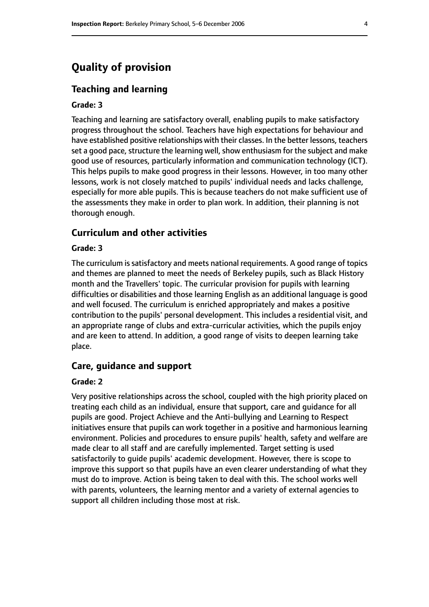# **Quality of provision**

#### **Teaching and learning**

#### **Grade: 3**

Teaching and learning are satisfactory overall, enabling pupils to make satisfactory progress throughout the school. Teachers have high expectations for behaviour and have established positive relationships with their classes. In the better lessons, teachers set a good pace, structure the learning well, show enthusiasm for the subject and make good use of resources, particularly information and communication technology (ICT). This helps pupils to make good progress in their lessons. However, in too many other lessons, work is not closely matched to pupils' individual needs and lacks challenge, especially for more able pupils. This is because teachers do not make sufficient use of the assessments they make in order to plan work. In addition, their planning is not thorough enough.

### **Curriculum and other activities**

#### **Grade: 3**

The curriculum is satisfactory and meets national requirements. A good range of topics and themes are planned to meet the needs of Berkeley pupils, such as Black History month and the Travellers' topic. The curricular provision for pupils with learning difficulties or disabilities and those learning English as an additional language is good and well focused. The curriculum is enriched appropriately and makes a positive contribution to the pupils' personal development. This includes a residential visit, and an appropriate range of clubs and extra-curricular activities, which the pupils enjoy and are keen to attend. In addition, a good range of visits to deepen learning take place.

#### **Care, guidance and support**

#### **Grade: 2**

Very positive relationships across the school, coupled with the high priority placed on treating each child as an individual, ensure that support, care and guidance for all pupils are good. Project Achieve and the Anti-bullying and Learning to Respect initiatives ensure that pupils can work together in a positive and harmonious learning environment. Policies and procedures to ensure pupils' health, safety and welfare are made clear to all staff and are carefully implemented. Target setting is used satisfactorily to guide pupils' academic development. However, there is scope to improve this support so that pupils have an even clearer understanding of what they must do to improve. Action is being taken to deal with this. The school works well with parents, volunteers, the learning mentor and a variety of external agencies to support all children including those most at risk.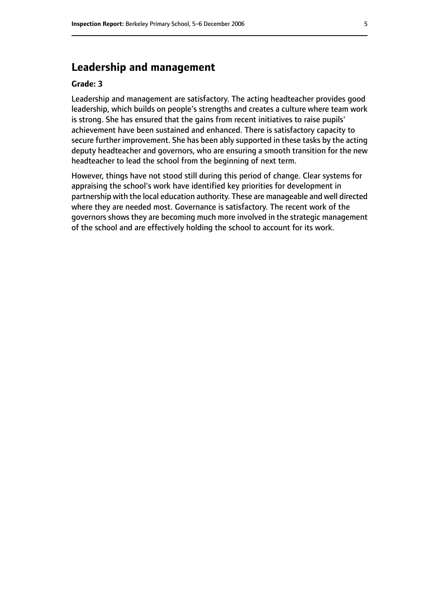# **Leadership and management**

#### **Grade: 3**

Leadership and management are satisfactory. The acting headteacher provides good leadership, which builds on people's strengths and creates a culture where team work is strong. She has ensured that the gains from recent initiatives to raise pupils' achievement have been sustained and enhanced. There is satisfactory capacity to secure further improvement. She has been ably supported in these tasks by the acting deputy headteacher and governors, who are ensuring a smooth transition for the new headteacher to lead the school from the beginning of next term.

However, things have not stood still during this period of change. Clear systems for appraising the school's work have identified key priorities for development in partnership with the local education authority. These are manageable and well directed where they are needed most. Governance is satisfactory. The recent work of the governors shows they are becoming much more involved in the strategic management of the school and are effectively holding the school to account for its work.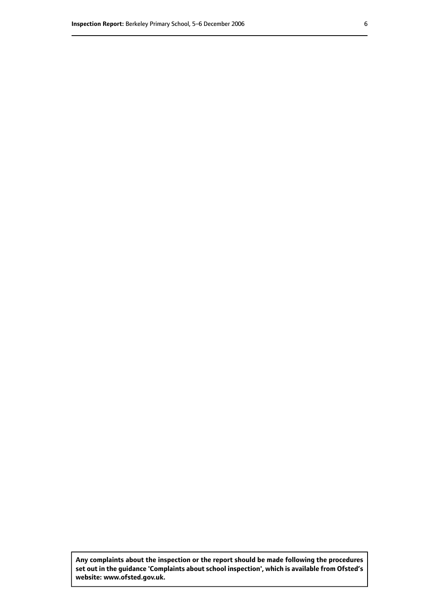**Any complaints about the inspection or the report should be made following the procedures set out inthe guidance 'Complaints about school inspection', whichis available from Ofsted's website: www.ofsted.gov.uk.**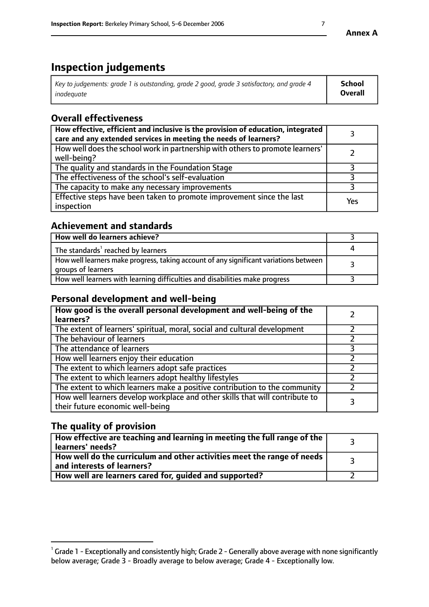# **Inspection judgements**

| $\vert$ Key to judgements: grade 1 is outstanding, grade 2 good, grade 3 satisfactory, and grade 4 | School         |
|----------------------------------------------------------------------------------------------------|----------------|
| inadeauate                                                                                         | <b>Overall</b> |

# **Overall effectiveness**

| How effective, efficient and inclusive is the provision of education, integrated<br>care and any extended services in meeting the needs of learners? |     |
|------------------------------------------------------------------------------------------------------------------------------------------------------|-----|
| How well does the school work in partnership with others to promote learners'<br>well-being?                                                         |     |
| The quality and standards in the Foundation Stage                                                                                                    |     |
| The effectiveness of the school's self-evaluation                                                                                                    |     |
| The capacity to make any necessary improvements                                                                                                      |     |
| Effective steps have been taken to promote improvement since the last<br>inspection                                                                  | Yes |

## **Achievement and standards**

| How well do learners achieve?                                                                               |  |
|-------------------------------------------------------------------------------------------------------------|--|
| The standards <sup>1</sup> reached by learners                                                              |  |
| How well learners make progress, taking account of any significant variations between<br>groups of learners |  |
| How well learners with learning difficulties and disabilities make progress                                 |  |

## **Personal development and well-being**

| How good is the overall personal development and well-being of the<br>learners?                                  |  |
|------------------------------------------------------------------------------------------------------------------|--|
| The extent of learners' spiritual, moral, social and cultural development                                        |  |
| The behaviour of learners                                                                                        |  |
| The attendance of learners                                                                                       |  |
| How well learners enjoy their education                                                                          |  |
| The extent to which learners adopt safe practices                                                                |  |
| The extent to which learners adopt healthy lifestyles                                                            |  |
| The extent to which learners make a positive contribution to the community                                       |  |
| How well learners develop workplace and other skills that will contribute to<br>their future economic well-being |  |

# **The quality of provision**

| $\Box$ How effective are teaching and learning in meeting the full range of the $\Box$<br>  learners' needs?        |  |
|---------------------------------------------------------------------------------------------------------------------|--|
| $\mid$ How well do the curriculum and other activities meet the range of needs<br>$\mid$ and interests of learners? |  |
| How well are learners cared for, guided and supported?                                                              |  |

 $^1$  Grade 1 - Exceptionally and consistently high; Grade 2 - Generally above average with none significantly below average; Grade 3 - Broadly average to below average; Grade 4 - Exceptionally low.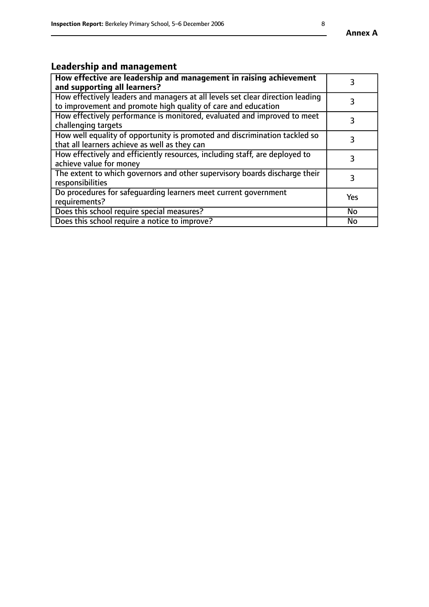# **Leadership and management**

| How effective are leadership and management in raising achievement<br>and supporting all learners?                                              |            |
|-------------------------------------------------------------------------------------------------------------------------------------------------|------------|
| How effectively leaders and managers at all levels set clear direction leading<br>to improvement and promote high quality of care and education |            |
| How effectively performance is monitored, evaluated and improved to meet<br>challenging targets                                                 | 3          |
| How well equality of opportunity is promoted and discrimination tackled so<br>that all learners achieve as well as they can                     |            |
| How effectively and efficiently resources, including staff, are deployed to<br>achieve value for money                                          | 3          |
| The extent to which governors and other supervisory boards discharge their<br>responsibilities                                                  | 3          |
| Do procedures for safequarding learners meet current government<br>requirements?                                                                | <b>Yes</b> |
| Does this school require special measures?                                                                                                      | No         |
| Does this school require a notice to improve?                                                                                                   | <b>No</b>  |